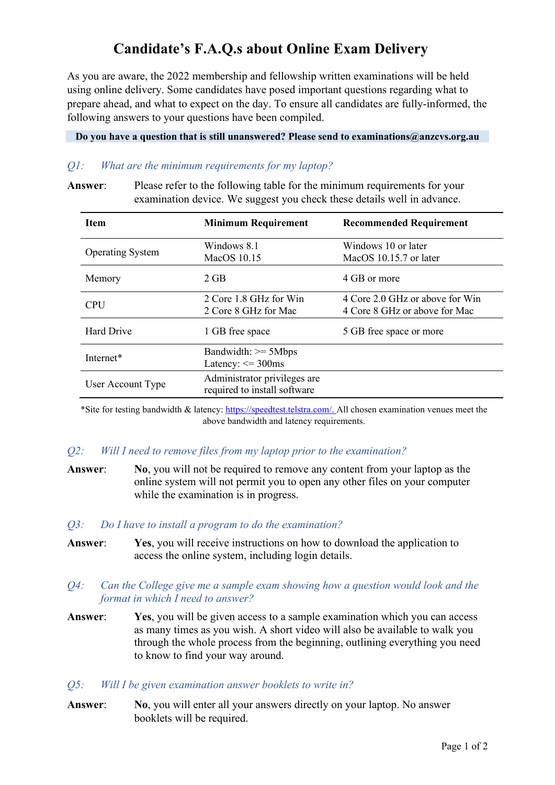# **Candidate's F.A.Q.s about Online Exam Delivery**

As you are aware, the 2022 membership and fellowship written examinations will be held using online delivery. Some candidates have posed important questions regarding what to prepare ahead, and what to expect on the day. To ensure all candidates are fully-informed, the following answers to your questions have been compiled.

**Do you have a question that is still unanswered? Please send to examinations@anzcvs.org.au**

# *Q1: What are the minimum requirements for my laptop?*

**Answer**: Please refer to the following table for the minimum requirements for your examination device. We suggest you check these details well in advance.

| <b>Item</b>             | <b>Minimum Requirement</b>                                   | <b>Recommended Requirement</b>                                   |
|-------------------------|--------------------------------------------------------------|------------------------------------------------------------------|
| <b>Operating System</b> | Windows 8.1<br>MacOS 10.15                                   | Windows 10 or later<br>MacOS 10.15.7 or later                    |
| Memory                  | $2$ GB                                                       | 4 GB or more                                                     |
| <b>CPU</b>              | 2 Core 1.8 GHz for Win<br>2 Core 8 GHz for Mac               | 4 Core 2.0 GHz or above for Win<br>4 Core 8 GHz or above for Mac |
| <b>Hard Drive</b>       | 1 GB free space                                              | 5 GB free space or more                                          |
| Internet*               | Bandwidth: >= 5Mbps<br>Latency: $\leq$ 300ms                 |                                                                  |
| User Account Type       | Administrator privileges are<br>required to install software |                                                                  |

\*Site for testing bandwidth & latency: [https://speedtest.telstra.com/.](https://speedtest.telstra.com/) All chosen examination venues meet the above bandwidth and latency requirements.

# *Q2: Will I need to remove files from my laptop prior to the examination?*

**Answer**: **No**, you will not be required to remove any content from your laptop as the online system will not permit you to open any other files on your computer while the examination is in progress.

#### *Q3: Do I have to install a program to do the examination?*

**Answer**: **Yes**, you will receive instructions on how to download the application to access the online system, including login details.

## *Q4: Can the College give me a sample exam showing how a question would look and the format in which I need to answer?*

- **Answer**: **Yes**, you will be given access to a sample examination which you can access as many times as you wish. A short video will also be available to walk you through the whole process from the beginning, outlining everything you need to know to find your way around.
- *Q5: Will I be given examination answer booklets to write in?*
- **Answer**: **No**, you will enter all your answers directly on your laptop. No answer booklets will be required.